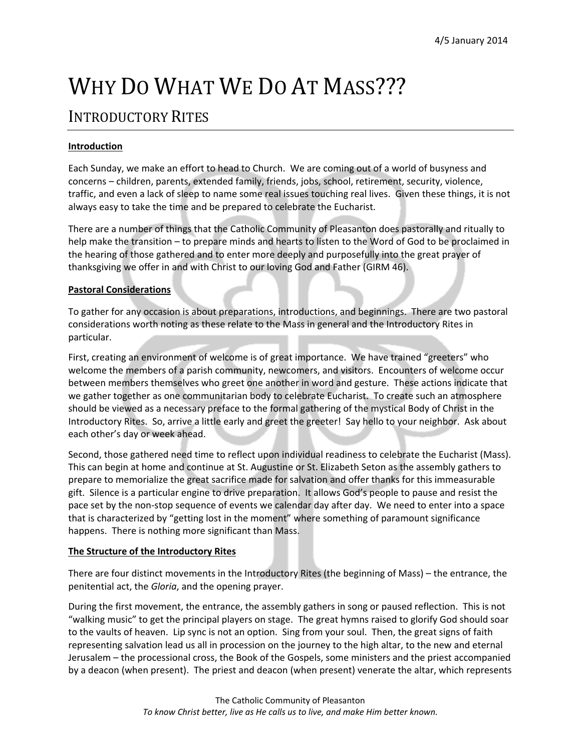# WHY DO WHAT WE DO AT MASS???

# INTRODUCTORY RITES

## **Introduction**

Each Sunday, we make an effort to head to Church. We are coming out of a world of busyness and concerns – children, parents, extended family, friends, jobs, school, retirement, security, violence, traffic, and even a lack of sleep to name some real issues touching real lives. Given these things, it is not always easy to take the time and be prepared to celebrate the Eucharist.

There are a number of things that the Catholic Community of Pleasanton does pastorally and ritually to help make the transition – to prepare minds and hearts to listen to the Word of God to be proclaimed in the hearing of those gathered and to enter more deeply and purposefully into the great prayer of thanksgiving we offer in and with Christ to our loving God and Father (GIRM 46).

#### **Pastoral Considerations**

To gather for any occasion is about preparations, introductions, and beginnings. There are two pastoral considerations worth noting as these relate to the Mass in general and the Introductory Rites in particular.

First, creating an environment of welcome is of great importance. We have trained "greeters" who welcome the members of a parish community, newcomers, and visitors. Encounters of welcome occur between members themselves who greet one another in word and gesture. These actions indicate that we gather together as one communitarian body to celebrate Eucharist. To create such an atmosphere should be viewed as a necessary preface to the formal gathering of the mystical Body of Christ in the Introductory Rites. So, arrive a little early and greet the greeter! Say hello to your neighbor. Ask about each other's day or week ahead.

Second, those gathered need time to reflect upon individual readiness to celebrate the Eucharist (Mass). This can begin at home and continue at St. Augustine or St. Elizabeth Seton as the assembly gathers to prepare to memorialize the great sacrifice made for salvation and offer thanks for this immeasurable gift. Silence is a particular engine to drive preparation. It allows God's people to pause and resist the pace set by the non-stop sequence of events we calendar day after day. We need to enter into a space that is characterized by "getting lost in the moment" where something of paramount significance happens. There is nothing more significant than Mass.

### **The Structure of the Introductory Rites**

There are four distinct movements in the Introductory Rites (the beginning of Mass) – the entrance, the penitential act, the *Gloria*, and the opening prayer.

During the first movement, the entrance, the assembly gathers in song or paused reflection. This is not "walking music" to get the principal players on stage. The great hymns raised to glorify God should soar to the vaults of heaven. Lip sync is not an option. Sing from your soul. Then, the great signs of faith representing salvation lead us all in procession on the journey to the high altar, to the new and eternal Jerusalem – the processional cross, the Book of the Gospels, some ministers and the priest accompanied by a deacon (when present). The priest and deacon (when present) venerate the altar, which represents